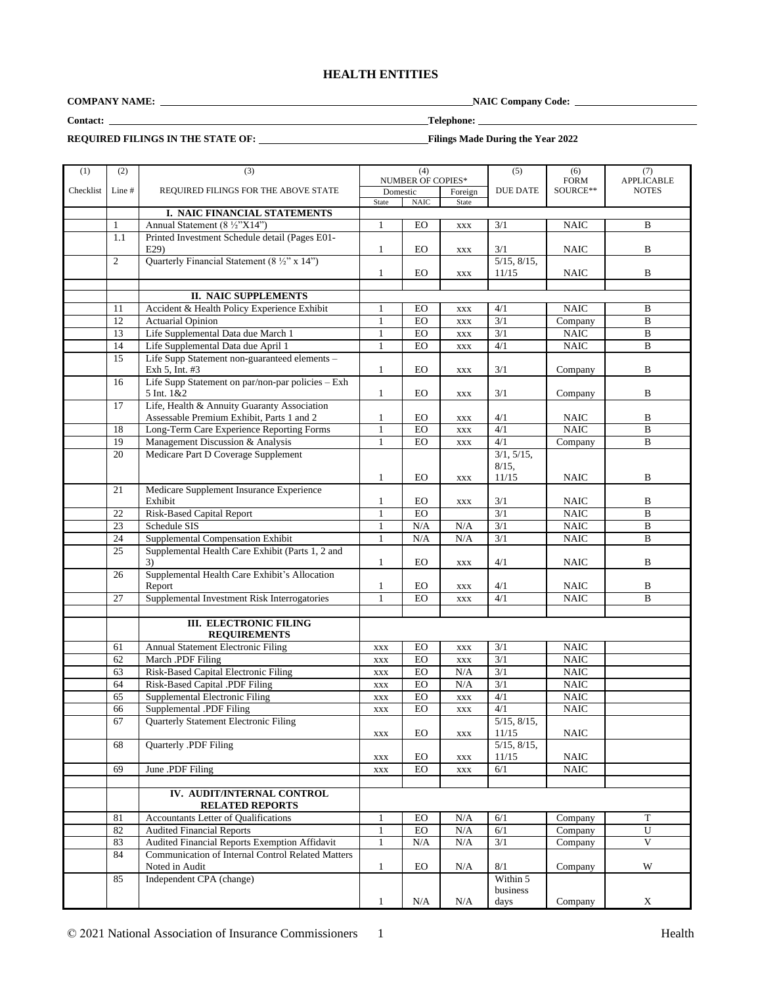# **HEALTH ENTITIES**

**COMPANY NAME: NAIC Company Code:** 

**Contact: Telephone:** 

**REQUIRED FILINGS IN THE STATE OF:** Filings Made During the Year 2022

| (1)       | (2)            | (3)                                                      |                | (4)               |                | (5)                       | (6)         | (7)               |
|-----------|----------------|----------------------------------------------------------|----------------|-------------------|----------------|---------------------------|-------------|-------------------|
|           |                |                                                          |                | NUMBER OF COPIES* |                |                           | <b>FORM</b> | <b>APPLICABLE</b> |
| Checklist | Line #         | REQUIRED FILINGS FOR THE ABOVE STATE                     | Domestic       |                   | Foreign        | <b>DUE DATE</b>           | SOURCE**    | <b>NOTES</b>      |
|           |                |                                                          | State          | <b>NAIC</b>       | State          |                           |             |                   |
|           |                | I. NAIC FINANCIAL STATEMENTS                             |                |                   |                |                           |             |                   |
|           | $\mathbf{1}$   | Annual Statement (8 1/2"X14")                            | $\mathbf{1}$   | EO                | <b>XXX</b>     | 3/1                       | <b>NAIC</b> | B                 |
|           | 1.1            | Printed Investment Schedule detail (Pages E01-           |                |                   |                |                           |             |                   |
|           |                | E29                                                      | $\mathbf{1}$   | <b>EO</b>         | <b>XXX</b>     | 3/1                       | <b>NAIC</b> | B                 |
|           | $\overline{2}$ | Quarterly Financial Statement $(8\frac{1}{2}$ " x 14")   |                |                   |                | $5/15$ , $8/15$ ,         |             |                   |
|           |                |                                                          | $\mathbf{1}$   | EO                | <b>XXX</b>     | 11/15                     | <b>NAIC</b> | B                 |
|           |                |                                                          |                |                   |                |                           |             |                   |
|           |                | <b>II. NAIC SUPPLEMENTS</b>                              |                |                   |                |                           |             |                   |
|           | 11             | Accident & Health Policy Experience Exhibit              | 1              | EO                | XXX            | 4/1                       | <b>NAIC</b> | B                 |
|           | 12             | <b>Actuarial Opinion</b>                                 | 1              | EO                | $\mathbf{XXX}$ | $\overline{3/1}$          | Company     | $\mathbf B$       |
|           | 13             | Life Supplemental Data due March 1                       | $\mathbf{1}$   | EO                | $\mathbf{XXX}$ | 3/1                       | <b>NAIC</b> | B                 |
|           | 14             | Life Supplemental Data due April 1                       | $\mathbf{1}$   | EO                | $\mathbf{XXX}$ | 4/1                       | <b>NAIC</b> | B                 |
|           | 15             | Life Supp Statement non-guaranteed elements -            |                |                   |                |                           |             |                   |
|           |                | Exh 5, Int. #3                                           | $\mathbf{1}$   | EO                | $\mathbf{XXX}$ | 3/1                       | Company     | B                 |
|           | 16             | Life Supp Statement on par/non-par policies - Exh        |                |                   |                |                           |             |                   |
|           |                | 5 Int. 1&2                                               | $\mathbf{1}$   | EO                | <b>XXX</b>     | 3/1                       | Company     | B                 |
|           | 17             | Life, Health & Annuity Guaranty Association              |                |                   |                |                           |             |                   |
|           |                | Assessable Premium Exhibit, Parts 1 and 2                | 1              | EO                | <b>XXX</b>     | 4/1                       | <b>NAIC</b> | B                 |
|           | 18             | Long-Term Care Experience Reporting Forms                | 1              | EO                | <b>XXX</b>     | 4/1                       | <b>NAIC</b> | B                 |
|           | 19             | Management Discussion & Analysis                         | $\mathbf{1}$   | EO                | <b>XXX</b>     | 4/1                       | Company     | B                 |
|           | 20             | Medicare Part D Coverage Supplement                      |                |                   |                | 3/1, 5/15,                |             |                   |
|           |                |                                                          |                |                   |                | $8/15$ ,                  |             |                   |
|           |                |                                                          | 1              | EO                | <b>XXX</b>     | 11/15                     | <b>NAIC</b> | B                 |
|           | 21             | Medicare Supplement Insurance Experience                 |                |                   |                |                           |             |                   |
|           |                | Exhibit                                                  | 1              | EO                | <b>XXX</b>     | 3/1                       | <b>NAIC</b> | B                 |
|           | 22             | <b>Risk-Based Capital Report</b>                         | $\mathbf{1}$   | EO                |                | $\overline{3/1}$          | <b>NAIC</b> | B                 |
|           | 23             | Schedule SIS                                             | 1              | $\rm N/A$         | N/A            | 3/1                       | <b>NAIC</b> | $\, {\bf B}$      |
|           | 24             | Supplemental Compensation Exhibit                        | $\mathbf{1}$   | N/A               | N/A            | 3/1                       | <b>NAIC</b> | B                 |
|           | 25             | Supplemental Health Care Exhibit (Parts 1, 2 and         |                |                   |                |                           |             |                   |
|           |                | 3)                                                       | 1              | EO                | <b>XXX</b>     | 4/1                       | <b>NAIC</b> | B                 |
|           | 26             | Supplemental Health Care Exhibit's Allocation            |                |                   |                |                           |             |                   |
|           |                | Report                                                   | $\mathbf{1}$   | EO                | $\mathbf{XXX}$ | 4/1                       | NAIC        | B                 |
|           | 27             | Supplemental Investment Risk Interrogatories             | $\mathbf{1}$   | EO                | <b>XXX</b>     | 4/1                       | NAIC        | B                 |
|           |                |                                                          |                |                   |                |                           |             |                   |
|           |                | <b>III. ELECTRONIC FILING</b>                            |                |                   |                |                           |             |                   |
|           |                | <b>REQUIREMENTS</b>                                      |                |                   |                |                           |             |                   |
|           | 61             | Annual Statement Electronic Filing                       | <b>XXX</b>     | EO                | <b>XXX</b>     | 3/1                       | <b>NAIC</b> |                   |
|           | 62             | March .PDF Filing                                        | $\mathbf{XXX}$ | $_{\rm EO}$       | XXX            | 3/1                       | <b>NAIC</b> |                   |
|           | 63             | Risk-Based Capital Electronic Filing                     | $\mathbf{XXX}$ | $E_O$             | N/A            | $\overline{3/1}$          | NAIC        |                   |
|           | 64             | Risk-Based Capital .PDF Filing                           | $\mathbf{XXX}$ | EO                | N/A            | 3/1                       | <b>NAIC</b> |                   |
|           | 65             | Supplemental Electronic Filing                           | $\mathbf{XXX}$ | $_{\rm EO}$       | XXX            | 4/1                       | <b>NAIC</b> |                   |
|           | 66             | Supplemental .PDF Filing                                 | <b>XXX</b>     | EO                | <b>XXX</b>     | 4/1                       | <b>NAIC</b> |                   |
|           | 67             | Quarterly Statement Electronic Filing                    |                |                   |                | $5/15$ , $8/15$ ,         |             |                   |
|           |                |                                                          | $\mathbf{XXX}$ | $_{\rm EO}$       | <b>XXX</b>     | 11/15                     | <b>NAIC</b> |                   |
|           | 68             | Quarterly .PDF Filing                                    |                |                   |                | $\overline{5/15, 8/15}$ , |             |                   |
|           |                |                                                          | XXX            | EO                | XXX            | 11/15                     | NAIC        |                   |
|           | 69             | June .PDF Filing                                         | $\mathbf{XXX}$ | $_{\rm EO}$       | $\mathbf{XXX}$ | 6/1                       | <b>NAIC</b> |                   |
|           |                |                                                          |                |                   |                |                           |             |                   |
|           |                | IV. AUDIT/INTERNAL CONTROL                               |                |                   |                |                           |             |                   |
|           |                | <b>RELATED REPORTS</b>                                   |                |                   |                |                           |             |                   |
|           | 81             | Accountants Letter of Qualifications                     | 1              | EO                | N/A            | 6/1                       | Company     | T                 |
|           | 82             | <b>Audited Financial Reports</b>                         | $\mathbf{1}$   | EO                | N/A            | 6/1                       | Company     | U                 |
|           | 83             | Audited Financial Reports Exemption Affidavit            | $\mathbf{1}$   | N/A               | $\rm N/A$      | 3/1                       | Company     | $\mathbf V$       |
|           | 84             | <b>Communication of Internal Control Related Matters</b> |                |                   |                |                           |             |                   |
|           |                | Noted in Audit                                           | $\mathbf{1}$   | EO                | N/A            | 8/1                       | Company     | W                 |
|           | 85             | Independent CPA (change)                                 |                |                   |                | Within 5                  |             |                   |
|           |                |                                                          |                |                   |                | business                  |             |                   |
|           |                |                                                          | $\mathbf{1}$   | $\rm N/A$         | N/A            | days                      | Company     | $\mathbf X$       |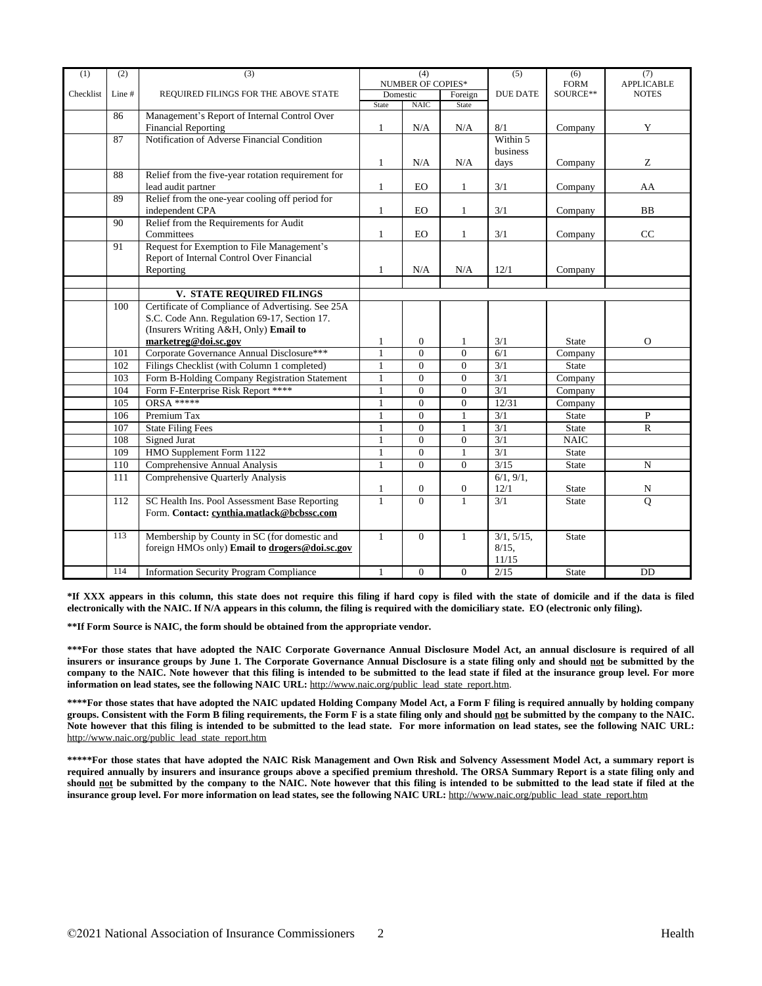| (1)       | (2)                                                | (3)                                                                        | (4)<br><b>NUMBER OF COPIES*</b> |                  | (5)              | (6)<br><b>FORM</b>       | (7)<br><b>APPLICABLE</b>       |              |
|-----------|----------------------------------------------------|----------------------------------------------------------------------------|---------------------------------|------------------|------------------|--------------------------|--------------------------------|--------------|
| Checklist | Line #                                             | REQUIRED FILINGS FOR THE ABOVE STATE                                       | Domestic                        |                  | Foreign          | <b>DUE DATE</b>          | SOURCE**                       | <b>NOTES</b> |
|           |                                                    |                                                                            | State                           | NAIC             | State            |                          |                                |              |
|           | 86                                                 | Management's Report of Internal Control Over<br><b>Financial Reporting</b> | $\mathbf{1}$                    | N/A              | N/A              | 8/1                      | Company                        | Y            |
|           | 87                                                 | Notification of Adverse Financial Condition                                |                                 |                  |                  | Within 5                 |                                |              |
|           |                                                    |                                                                            |                                 |                  |                  | business                 |                                |              |
|           |                                                    |                                                                            | $\mathbf{1}$                    | N/A              | N/A              | days                     | Company                        | Z            |
|           | 88                                                 | Relief from the five-year rotation requirement for                         |                                 |                  |                  |                          |                                |              |
|           |                                                    | lead audit partner                                                         | $\mathbf{1}$                    | EO               | 1                | 3/1                      | Company                        | AA           |
|           | 89                                                 | Relief from the one-year cooling off period for                            |                                 |                  |                  |                          |                                |              |
|           |                                                    | independent CPA                                                            | $\mathbf{1}$                    | <b>EO</b>        | $\mathbf{1}$     | 3/1                      | Company                        | <b>BB</b>    |
|           | 90                                                 | Relief from the Requirements for Audit<br>Committees                       | $\mathbf{1}$                    | EO               | $\mathbf{1}$     | 3/1                      | Company                        | CC           |
|           | 91                                                 | Request for Exemption to File Management's                                 |                                 |                  |                  |                          |                                |              |
|           |                                                    | Report of Internal Control Over Financial                                  |                                 |                  |                  |                          |                                |              |
|           |                                                    | Reporting                                                                  | $\mathbf{1}$                    | N/A              | N/A              | 12/1                     | Company                        |              |
|           |                                                    |                                                                            |                                 |                  |                  |                          |                                |              |
|           |                                                    | <b>V. STATE REQUIRED FILINGS</b>                                           |                                 |                  |                  |                          |                                |              |
|           | 100                                                | Certificate of Compliance of Advertising. See 25A                          |                                 |                  |                  |                          |                                |              |
|           |                                                    | S.C. Code Ann. Regulation 69-17, Section 17.                               |                                 |                  |                  |                          |                                |              |
|           |                                                    | (Insurers Writing A&H, Only) Email to                                      |                                 |                  |                  |                          |                                |              |
|           |                                                    | marketreg@doi.sc.gov                                                       | $\mathbf{1}$                    | $\boldsymbol{0}$ | 1                | 3/1                      | <b>State</b>                   | $\Omega$     |
|           | 101                                                | Corporate Governance Annual Disclosure***                                  | $\overline{1}$                  | $\overline{0}$   | $\overline{0}$   | 6/1                      | Company                        |              |
|           | Filings Checklist (with Column 1 completed)<br>102 |                                                                            | $\mathbf{1}$                    | $\Omega$         | $\Omega$         | 3/1                      | <b>State</b>                   |              |
|           | 103                                                | Form B-Holding Company Registration Statement                              | $\overline{0}$<br>$\mathbf{1}$  |                  | $\Omega$         | 3/1                      | $\overline{\mathrm{Comp}}$ any |              |
|           | 104                                                | Form F-Enterprise Risk Report ****                                         | $\Omega$<br>1                   |                  | $\Omega$         | $\overline{3/1}$         | Company                        |              |
|           | 105                                                | <b>ORSA *****</b>                                                          | $\mathbf{1}$                    | $\mathbf{0}$     | $\overline{0}$   | 12/31                    | Company                        |              |
|           | 106                                                | Premium Tax                                                                | $\mathbf{1}$                    | $\overline{0}$   | $\mathbf{1}$     | $\overline{3/1}$         | <b>State</b>                   | P            |
|           | 107                                                | <b>State Filing Fees</b>                                                   | $\mathbf{1}$                    | $\theta$         | $\mathbf{1}$     | 3/1                      | <b>State</b>                   | $\mathbf R$  |
|           | 108                                                | <b>Signed Jurat</b>                                                        | $\mathbf{1}$                    | $\Omega$         | $\overline{0}$   | $\overline{3}/1$         | <b>NAIC</b>                    |              |
|           | 109                                                | HMO Supplement Form 1122                                                   | 1                               | $\Omega$         | 1                | 3/1                      | State                          |              |
|           | 110                                                | Comprehensive Annual Analysis                                              | $\mathbf{1}$                    | $\overline{0}$   | $\Omega$         | 3/15                     | <b>State</b>                   | N            |
|           | 111                                                | <b>Comprehensive Quarterly Analysis</b>                                    |                                 |                  |                  | $\overline{6/1, 9/1},$   |                                |              |
|           |                                                    |                                                                            | $\mathbf{1}$                    | $\boldsymbol{0}$ | $\boldsymbol{0}$ | 12/1                     | <b>State</b>                   | N            |
|           | 112                                                | SC Health Ins. Pool Assessment Base Reporting                              | $\mathbf{1}$                    | $\theta$         | $\mathbf{1}$     | $\overline{3/1}$         | State                          | Q            |
|           |                                                    | Form. Contact: cynthia.matlack@bcbssc.com                                  |                                 |                  |                  |                          |                                |              |
|           |                                                    |                                                                            |                                 |                  |                  |                          |                                |              |
|           | 113                                                | Membership by County in SC (for domestic and                               | $\mathbf{1}$                    | $\Omega$         | $\mathbf{1}$     | $\overline{3/1, 5/15}$ , | <b>State</b>                   |              |
|           |                                                    | foreign HMOs only) Email to drogers@doi.sc.gov                             |                                 |                  |                  | $8/15$ .                 |                                |              |
|           |                                                    |                                                                            |                                 |                  |                  | 11/15                    |                                |              |
|           | 114                                                | <b>Information Security Program Compliance</b>                             | $\mathbf{1}$                    | $\mathbf{0}$     | $\overline{0}$   | 2/15                     | <b>State</b>                   | DD           |

\*If XXX appears in this column, this state does not require this filing if hard copy is filed with the state of domicile and if the data is filed **electronically with the NAIC. If N/A appears in this column, the filing is required with the domiciliary state. EO (electronic only filing).**

**\*\*If Form Source is NAIC, the form should be obtained from the appropriate vendor.**

\*\*\*For those states that have adopted the NAIC Corporate Governance Annual Disclosure Model Act, an annual disclosure is required of all insurers or insurance groups by June 1. The Corporate Governance Annual Disclosure is a state filing only and should not be submitted by the company to the NAIC. Note however that this filing is intended to be submitted to the lead state if filed at the insurance group level. For more **information on lead states, see the following NAIC URL:** [http://www.naic.org/public\\_lead\\_state\\_report.htm](http://www.naic.org/public_lead_state_report.htm).

\*\*\*\*For those states that have adopted the NAIC updated Holding Company Model Act, a Form F filing is required annually by holding company groups. Consistent with the Form B filing requirements, the Form F is a state filing only and should not be submitted by the company to the NAIC. Note however that this filing is intended to be submitted to the lead state. For more information on lead states, see the following NAIC URL: [http://www.naic.org/public\\_lead\\_state\\_report.htm](http://www.naic.org/public_lead_state_report.htm)

\*\*\*\*\*For those states that have adopted the NAIC Risk Management and Own Risk and Solvency Assessment Model Act, a summary report is required annually by insurers and insurance groups above a specified premium threshold. The ORSA Summary Report is a state filing only and should not be submitted by the company to the NAIC. Note however that this filing is intended to be submitted to the lead state if filed at the **insurance group level. For more information on lead states, see the following NAIC URL:** [http://www.naic.org/public\\_lead\\_state\\_report.htm](http://www.naic.org/public_lead_state_report.htm)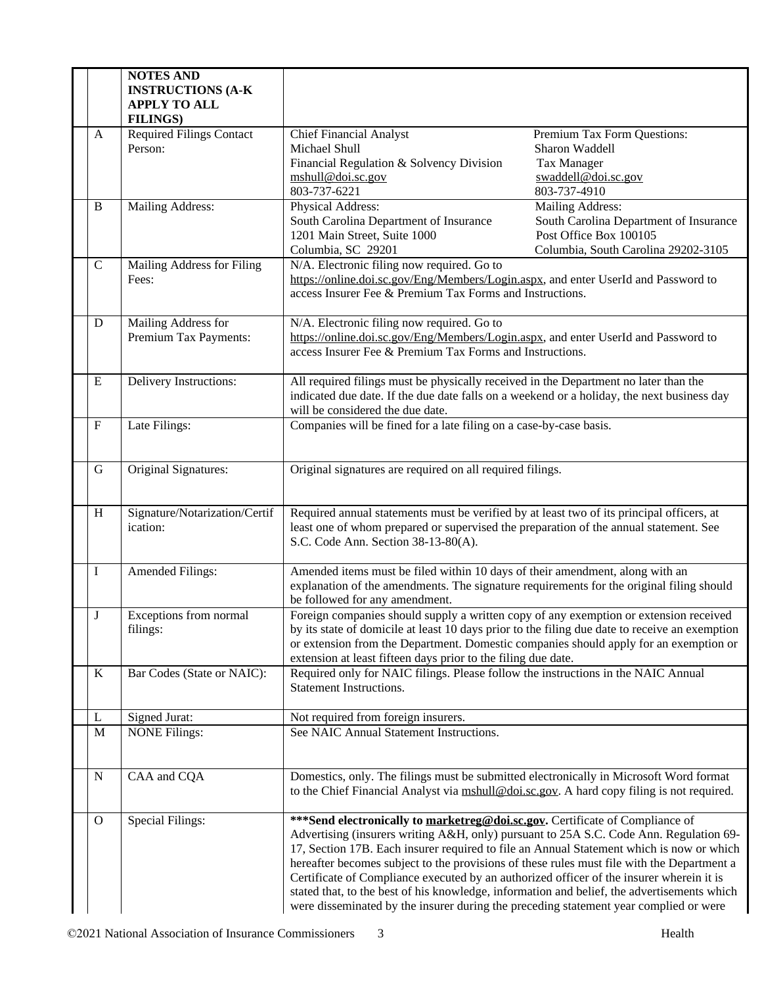|              | <b>NOTES AND</b><br><b>INSTRUCTIONS (A-K)</b><br><b>APPLY TO ALL</b><br><b>FILINGS)</b> |                                                                                                                                                                                                                                                                                                                                                                                                                                                                                                                                                                                                                                                       |                                                                                                                             |
|--------------|-----------------------------------------------------------------------------------------|-------------------------------------------------------------------------------------------------------------------------------------------------------------------------------------------------------------------------------------------------------------------------------------------------------------------------------------------------------------------------------------------------------------------------------------------------------------------------------------------------------------------------------------------------------------------------------------------------------------------------------------------------------|-----------------------------------------------------------------------------------------------------------------------------|
| A            | <b>Required Filings Contact</b><br>Person:                                              | <b>Chief Financial Analyst</b><br>Michael Shull<br>Financial Regulation & Solvency Division<br>mshull@doi.sc.gov<br>803-737-6221                                                                                                                                                                                                                                                                                                                                                                                                                                                                                                                      | Premium Tax Form Questions:<br>Sharon Waddell<br><b>Tax Manager</b><br>swaddell@doi.sc.gov<br>803-737-4910                  |
| B            | <b>Mailing Address:</b>                                                                 | Physical Address:<br>South Carolina Department of Insurance<br>1201 Main Street, Suite 1000<br>Columbia, SC 29201                                                                                                                                                                                                                                                                                                                                                                                                                                                                                                                                     | Mailing Address:<br>South Carolina Department of Insurance<br>Post Office Box 100105<br>Columbia, South Carolina 29202-3105 |
| $\mathbf C$  | Mailing Address for Filing<br>Fees:                                                     | N/A. Electronic filing now required. Go to<br>https://online.doi.sc.gov/Eng/Members/Login.aspx, and enter UserId and Password to<br>access Insurer Fee & Premium Tax Forms and Instructions.                                                                                                                                                                                                                                                                                                                                                                                                                                                          |                                                                                                                             |
| D            | Mailing Address for<br>Premium Tax Payments:                                            | N/A. Electronic filing now required. Go to<br>https://online.doi.sc.gov/Eng/Members/Login.aspx, and enter UserId and Password to<br>access Insurer Fee & Premium Tax Forms and Instructions.                                                                                                                                                                                                                                                                                                                                                                                                                                                          |                                                                                                                             |
| E            | Delivery Instructions:                                                                  | All required filings must be physically received in the Department no later than the<br>indicated due date. If the due date falls on a weekend or a holiday, the next business day<br>will be considered the due date.                                                                                                                                                                                                                                                                                                                                                                                                                                |                                                                                                                             |
| F            | Late Filings:                                                                           | Companies will be fined for a late filing on a case-by-case basis.                                                                                                                                                                                                                                                                                                                                                                                                                                                                                                                                                                                    |                                                                                                                             |
| G            | Original Signatures:                                                                    | Original signatures are required on all required filings.                                                                                                                                                                                                                                                                                                                                                                                                                                                                                                                                                                                             |                                                                                                                             |
| H            | Signature/Notarization/Certif<br>ication:                                               | Required annual statements must be verified by at least two of its principal officers, at<br>least one of whom prepared or supervised the preparation of the annual statement. See<br>S.C. Code Ann. Section 38-13-80(A).                                                                                                                                                                                                                                                                                                                                                                                                                             |                                                                                                                             |
| I            | Amended Filings:                                                                        | Amended items must be filed within 10 days of their amendment, along with an<br>explanation of the amendments. The signature requirements for the original filing should<br>be followed for any amendment.                                                                                                                                                                                                                                                                                                                                                                                                                                            |                                                                                                                             |
| J            | Exceptions from normal<br>filings:                                                      | Foreign companies should supply a written copy of any exemption or extension received<br>by its state of domicile at least 10 days prior to the filing due date to receive an exemption<br>or extension from the Department. Domestic companies should apply for an exemption or<br>extension at least fifteen days prior to the filing due date.                                                                                                                                                                                                                                                                                                     |                                                                                                                             |
| K            | Bar Codes (State or NAIC):                                                              | Required only for NAIC filings. Please follow the instructions in the NAIC Annual<br><b>Statement Instructions.</b>                                                                                                                                                                                                                                                                                                                                                                                                                                                                                                                                   |                                                                                                                             |
| L            | Signed Jurat:                                                                           | Not required from foreign insurers.                                                                                                                                                                                                                                                                                                                                                                                                                                                                                                                                                                                                                   |                                                                                                                             |
| M            | <b>NONE Filings:</b>                                                                    | See NAIC Annual Statement Instructions.                                                                                                                                                                                                                                                                                                                                                                                                                                                                                                                                                                                                               |                                                                                                                             |
| N            | CAA and CQA                                                                             | Domestics, only. The filings must be submitted electronically in Microsoft Word format<br>to the Chief Financial Analyst via mshull@doi.sc.gov. A hard copy filing is not required.                                                                                                                                                                                                                                                                                                                                                                                                                                                                   |                                                                                                                             |
| $\mathbf{O}$ | Special Filings:                                                                        | *** Send electronically to marketreg@doi.sc.gov. Certificate of Compliance of<br>Advertising (insurers writing A&H, only) pursuant to 25A S.C. Code Ann. Regulation 69-<br>17, Section 17B. Each insurer required to file an Annual Statement which is now or which<br>hereafter becomes subject to the provisions of these rules must file with the Department a<br>Certificate of Compliance executed by an authorized officer of the insurer wherein it is<br>stated that, to the best of his knowledge, information and belief, the advertisements which<br>were disseminated by the insurer during the preceding statement year complied or were |                                                                                                                             |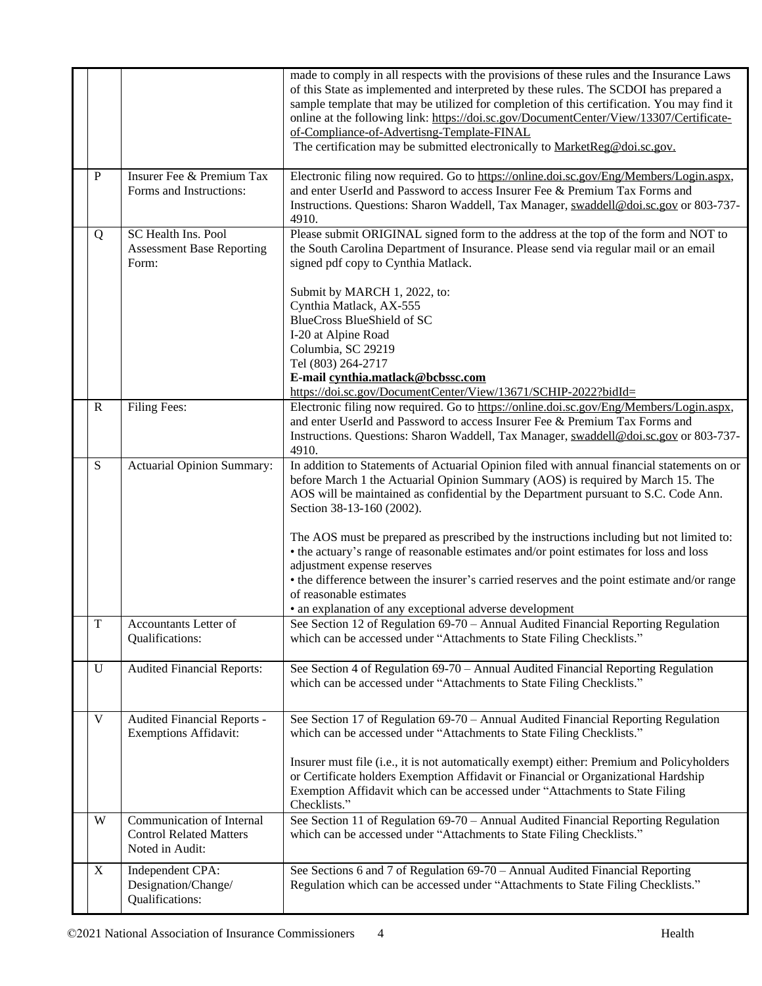|              |                                                                                | made to comply in all respects with the provisions of these rules and the Insurance Laws<br>of this State as implemented and interpreted by these rules. The SCDOI has prepared a<br>sample template that may be utilized for completion of this certification. You may find it<br>online at the following link: https://doi.sc.gov/DocumentCenter/View/13307/Certificate-<br>of-Compliance-of-Advertisng-Template-FINAL |
|--------------|--------------------------------------------------------------------------------|--------------------------------------------------------------------------------------------------------------------------------------------------------------------------------------------------------------------------------------------------------------------------------------------------------------------------------------------------------------------------------------------------------------------------|
|              |                                                                                | The certification may be submitted electronically to MarketReg@doi.sc.gov.                                                                                                                                                                                                                                                                                                                                               |
| $\mathbf{P}$ | Insurer Fee & Premium Tax<br>Forms and Instructions:                           | Electronic filing now required. Go to https://online.doi.sc.gov/Eng/Members/Login.aspx,<br>and enter UserId and Password to access Insurer Fee & Premium Tax Forms and<br>Instructions. Questions: Sharon Waddell, Tax Manager, swaddell@doi.sc.gov or 803-737-<br>4910.                                                                                                                                                 |
| Q            | <b>SC Health Ins. Pool</b><br><b>Assessment Base Reporting</b><br>Form:        | Please submit ORIGINAL signed form to the address at the top of the form and NOT to<br>the South Carolina Department of Insurance. Please send via regular mail or an email<br>signed pdf copy to Cynthia Matlack.                                                                                                                                                                                                       |
|              |                                                                                | Submit by MARCH 1, 2022, to:                                                                                                                                                                                                                                                                                                                                                                                             |
|              |                                                                                | Cynthia Matlack, AX-555                                                                                                                                                                                                                                                                                                                                                                                                  |
|              |                                                                                | <b>BlueCross BlueShield of SC</b><br>I-20 at Alpine Road                                                                                                                                                                                                                                                                                                                                                                 |
|              |                                                                                | Columbia, SC 29219                                                                                                                                                                                                                                                                                                                                                                                                       |
|              |                                                                                | Tel (803) 264-2717                                                                                                                                                                                                                                                                                                                                                                                                       |
|              |                                                                                | E-mail cynthia.matlack@bcbssc.com                                                                                                                                                                                                                                                                                                                                                                                        |
|              |                                                                                | https://doi.sc.gov/DocumentCenter/View/13671/SCHIP-2022?bidId=<br>Electronic filing now required. Go to https://online.doi.sc.gov/Eng/Members/Login.aspx,                                                                                                                                                                                                                                                                |
| $\mathbf R$  | Filing Fees:                                                                   | and enter UserId and Password to access Insurer Fee & Premium Tax Forms and<br>Instructions. Questions: Sharon Waddell, Tax Manager, swaddell@doi.sc.gov or 803-737-<br>4910.                                                                                                                                                                                                                                            |
| S            | Actuarial Opinion Summary:                                                     | In addition to Statements of Actuarial Opinion filed with annual financial statements on or<br>before March 1 the Actuarial Opinion Summary (AOS) is required by March 15. The<br>AOS will be maintained as confidential by the Department pursuant to S.C. Code Ann.<br>Section 38-13-160 (2002).                                                                                                                       |
|              |                                                                                | The AOS must be prepared as prescribed by the instructions including but not limited to:<br>• the actuary's range of reasonable estimates and/or point estimates for loss and loss<br>adjustment expense reserves                                                                                                                                                                                                        |
|              |                                                                                | • the difference between the insurer's carried reserves and the point estimate and/or range<br>of reasonable estimates                                                                                                                                                                                                                                                                                                   |
|              |                                                                                | • an explanation of any exceptional adverse development                                                                                                                                                                                                                                                                                                                                                                  |
| T            | Accountants Letter of<br>Qualifications:                                       | See Section 12 of Regulation 69-70 - Annual Audited Financial Reporting Regulation<br>which can be accessed under "Attachments to State Filing Checklists."                                                                                                                                                                                                                                                              |
| U            | <b>Audited Financial Reports:</b>                                              | See Section 4 of Regulation 69-70 - Annual Audited Financial Reporting Regulation<br>which can be accessed under "Attachments to State Filing Checklists."                                                                                                                                                                                                                                                               |
| V            | Audited Financial Reports -<br><b>Exemptions Affidavit:</b>                    | See Section 17 of Regulation 69-70 - Annual Audited Financial Reporting Regulation<br>which can be accessed under "Attachments to State Filing Checklists."                                                                                                                                                                                                                                                              |
|              |                                                                                | Insurer must file (i.e., it is not automatically exempt) either: Premium and Policyholders<br>or Certificate holders Exemption Affidavit or Financial or Organizational Hardship<br>Exemption Affidavit which can be accessed under "Attachments to State Filing<br>Checklists."                                                                                                                                         |
| W            | Communication of Internal<br><b>Control Related Matters</b><br>Noted in Audit: | See Section 11 of Regulation 69-70 - Annual Audited Financial Reporting Regulation<br>which can be accessed under "Attachments to State Filing Checklists."                                                                                                                                                                                                                                                              |
| X            | Independent CPA:<br>Designation/Change/<br>Qualifications:                     | See Sections 6 and 7 of Regulation 69-70 - Annual Audited Financial Reporting<br>Regulation which can be accessed under "Attachments to State Filing Checklists."                                                                                                                                                                                                                                                        |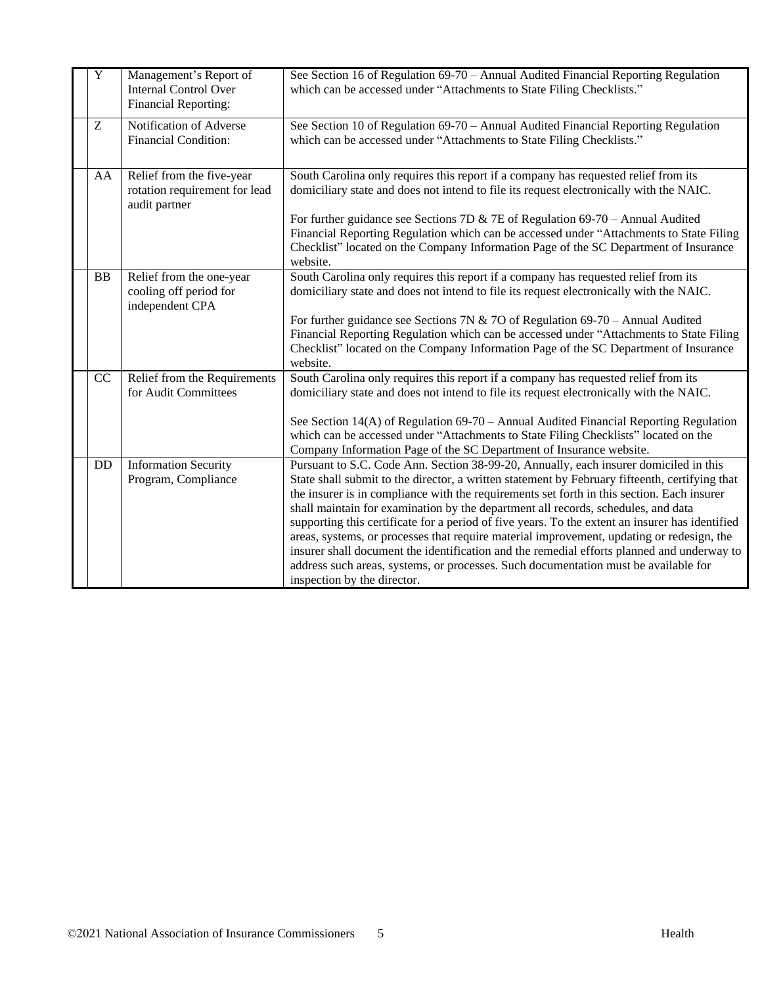| $\overline{\mathrm{Y}}$ | Management's Report of<br><b>Internal Control Over</b><br>Financial Reporting: | See Section 16 of Regulation 69-70 – Annual Audited Financial Reporting Regulation<br>which can be accessed under "Attachments to State Filing Checklists."                                                                                                                                                                                                                                                                                                                                                                                                                                                                                                                                                                                                                                    |
|-------------------------|--------------------------------------------------------------------------------|------------------------------------------------------------------------------------------------------------------------------------------------------------------------------------------------------------------------------------------------------------------------------------------------------------------------------------------------------------------------------------------------------------------------------------------------------------------------------------------------------------------------------------------------------------------------------------------------------------------------------------------------------------------------------------------------------------------------------------------------------------------------------------------------|
| Z                       | Notification of Adverse<br><b>Financial Condition:</b>                         | See Section 10 of Regulation 69-70 - Annual Audited Financial Reporting Regulation<br>which can be accessed under "Attachments to State Filing Checklists."                                                                                                                                                                                                                                                                                                                                                                                                                                                                                                                                                                                                                                    |
| AA                      | Relief from the five-year<br>rotation requirement for lead<br>audit partner    | South Carolina only requires this report if a company has requested relief from its<br>domiciliary state and does not intend to file its request electronically with the NAIC.<br>For further guidance see Sections 7D & 7E of Regulation $69-70$ – Annual Audited<br>Financial Reporting Regulation which can be accessed under "Attachments to State Filing<br>Checklist" located on the Company Information Page of the SC Department of Insurance<br>website.                                                                                                                                                                                                                                                                                                                              |
| <b>BB</b>               | Relief from the one-year<br>cooling off period for<br>independent CPA          | South Carolina only requires this report if a company has requested relief from its<br>domiciliary state and does not intend to file its request electronically with the NAIC.<br>For further guidance see Sections 7N & 7O of Regulation $69-70$ – Annual Audited<br>Financial Reporting Regulation which can be accessed under "Attachments to State Filing<br>Checklist" located on the Company Information Page of the SC Department of Insurance<br>website.                                                                                                                                                                                                                                                                                                                              |
| CC                      | Relief from the Requirements<br>for Audit Committees                           | South Carolina only requires this report if a company has requested relief from its<br>domiciliary state and does not intend to file its request electronically with the NAIC.<br>See Section 14(A) of Regulation 69-70 – Annual Audited Financial Reporting Regulation<br>which can be accessed under "Attachments to State Filing Checklists" located on the<br>Company Information Page of the SC Department of Insurance website.                                                                                                                                                                                                                                                                                                                                                          |
| DD                      | <b>Information Security</b><br>Program, Compliance                             | Pursuant to S.C. Code Ann. Section 38-99-20, Annually, each insurer domiciled in this<br>State shall submit to the director, a written statement by February fifteenth, certifying that<br>the insurer is in compliance with the requirements set forth in this section. Each insurer<br>shall maintain for examination by the department all records, schedules, and data<br>supporting this certificate for a period of five years. To the extent an insurer has identified<br>areas, systems, or processes that require material improvement, updating or redesign, the<br>insurer shall document the identification and the remedial efforts planned and underway to<br>address such areas, systems, or processes. Such documentation must be available for<br>inspection by the director. |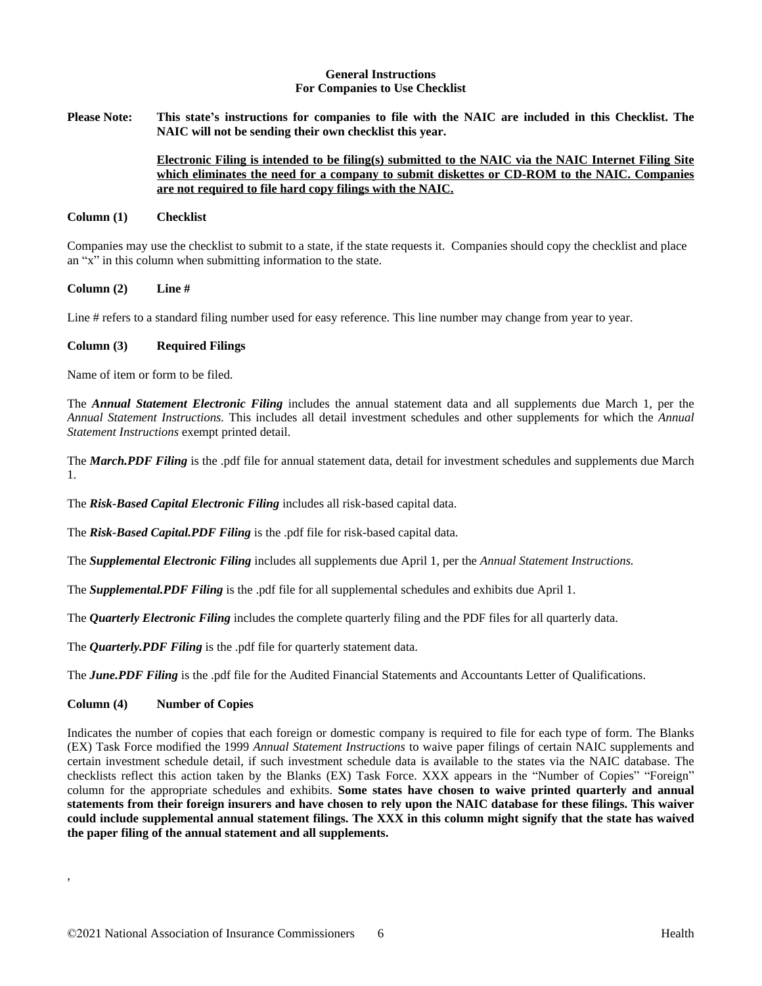#### **General Instructions For Companies to Use Checklist**

Please Note: This state's instructions for companies to file with the NAIC are included in this Checklist. The **NAIC will not be sending their own checklist this year.** 

# **Electronic Filing is intended to be filing(s) submitted to the NAIC via the NAIC Internet Filing Site which eliminates the need for a company to submit diskettes or CD-ROM to the NAIC. Companies are not required to file hard copy filings with the NAIC.**

#### **Column (1) Checklist**

Companies may use the checklist to submit to a state, if the state requests it. Companies should copy the checklist and place an "x" in this column when submitting information to the state.

### **Column (2) Line #**

Line # refers to a standard filing number used for easy reference. This line number may change from year to year.

### **Column (3) Required Filings**

Name of item or form to be filed.

The *Annual Statement Electronic Filing* includes the annual statement data and all supplements due March 1, per the *Annual Statement Instructions.* This includes all detail investment schedules and other supplements for which the *Annual Statement Instructions* exempt printed detail.

The *March.PDF Filing* is the .pdf file for annual statement data, detail for investment schedules and supplements due March 1.

The *Risk-Based Capital Electronic Filing* includes all risk-based capital data.

The *Risk-Based Capital.PDF Filing* is the .pdf file for risk-based capital data.

The *Supplemental Electronic Filing* includes all supplements due April 1, per the *Annual Statement Instructions.*

The *Supplemental.PDF Filing* is the .pdf file for all supplemental schedules and exhibits due April 1.

The *Quarterly Electronic Filing* includes the complete quarterly filing and the PDF files for all quarterly data.

The *Quarterly.PDF Filing* is the .pdf file for quarterly statement data.

The *June.PDF Filing* is the .pdf file for the Audited Financial Statements and Accountants Letter of Qualifications.

# **Column (4) Number of Copies**

,

Indicates the number of copies that each foreign or domestic company is required to file for each type of form. The Blanks (EX) Task Force modified the 1999 *Annual Statement Instructions* to waive paper filings of certain NAIC supplements and certain investment schedule detail, if such investment schedule data is available to the states via the NAIC database. The checklists reflect this action taken by the Blanks (EX) Task Force. XXX appears in the "Number of Copies" "Foreign" column for the appropriate schedules and exhibits. **Some states have chosen to waive printed quarterly and annual** statements from their foreign insurers and have chosen to rely upon the NAIC database for these filings. This waiver could include supplemental annual statement filings. The XXX in this column might signify that the state has waived **the paper filing of the annual statement and all supplements.**